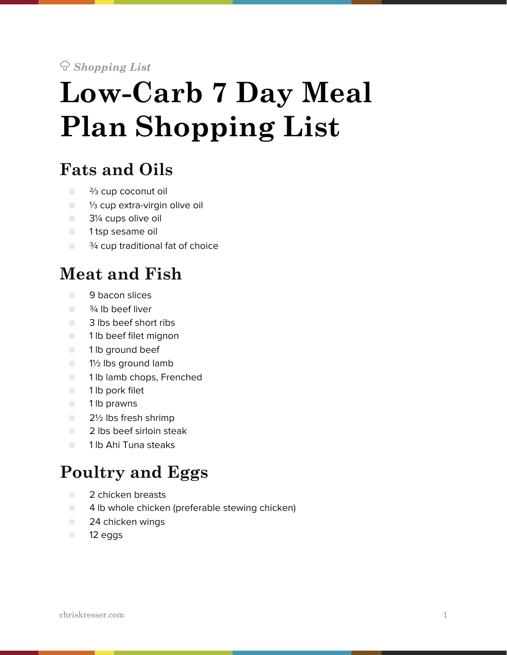! *Shopping List*

# **Low-Carb 7 Day Meal Plan Shopping List**

### **Fats and Oils**

- <sup>2</sup>/<sub>3</sub> cup coconut oil
- <sup>1/3</sup> cup extra-virgin olive oil
- **B** 3<sup>1</sup>/<sub>4</sub> cups olive oil
- 1 tsp sesame oil
- $\Box$   $\frac{3}{4}$  cup traditional fat of choice

#### **Meat and Fish**

- 9 bacon slices
- $\blacksquare$   $\frac{3}{4}$  lb beef liver
- 3 lbs beef short ribs
- 1 lb beef filet mignon
- 1 lb ground beef
- 1½ lbs ground lamb
- 1 lb lamb chops, Frenched
- 1 lb pork filet
- 1 lb prawns
- 2½ lbs fresh shrimp
- 2 lbs beef sirloin steak
- 1 lb Ahi Tuna steaks

#### **Poultry and Eggs**

- 2 chicken breasts
- 4 lb whole chicken (preferable stewing chicken)
- 24 chicken wings
- 12 eggs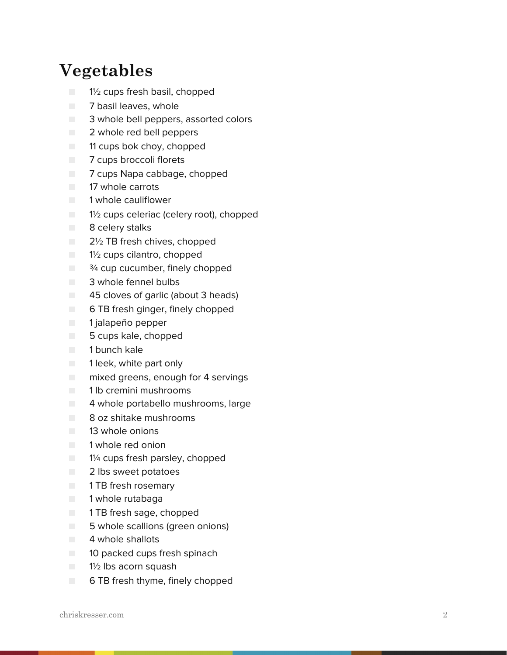#### **Vegetables**

- 1½ cups fresh basil, chopped
- 7 basil leaves, whole
- 3 whole bell peppers, assorted colors
- 2 whole red bell peppers
- 11 cups bok choy, chopped
- 7 cups broccoli florets
- 7 cups Napa cabbage, chopped
- 17 whole carrots
- 1 whole cauliflower
- $\Box$  1<sup>1</sup>/<sub>2</sub> cups celeriac (celery root), chopped
- 8 celery stalks
- 2½ TB fresh chives, chopped
- 1½ cups cilantro, chopped
- $\blacksquare$   $\frac{3}{4}$  cup cucumber, finely chopped
- 3 whole fennel bulbs
- 45 cloves of garlic (about 3 heads)
- 6 TB fresh ginger, finely chopped
- 1 jalapeño pepper
- 5 cups kale, chopped
- 1 bunch kale
- 1 leek, white part only
- mixed greens, enough for 4 servings
- 1 lb cremini mushrooms
- 4 whole portabello mushrooms, large
- 8 oz shitake mushrooms
- 13 whole onions
- 1 whole red onion
- 1¼ cups fresh parsley, chopped
- 2 lbs sweet potatoes
- **THE 1 TB fresh rosemary**
- 1 whole rutabaga
- 1 TB fresh sage, chopped
- 5 whole scallions (green onions)
- 4 whole shallots
- 10 packed cups fresh spinach
- $\blacksquare$  1<sup>1</sup>/<sub>2</sub> lbs acorn squash
- 6 TB fresh thyme, finely chopped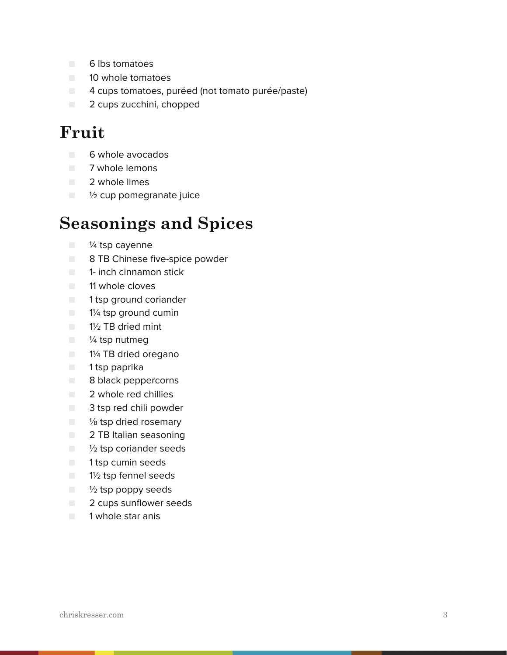- 6 lbs tomatoes
- 10 whole tomatoes
- 4 cups tomatoes, puréed (not tomato purée/paste)
- 2 cups zucchini, chopped

#### **Fruit**

- 6 whole avocados
- 7 whole lemons
- 2 whole limes
- ½ cup pomegranate juice

#### **Seasonings and Spices**

- <sup>1/4</sup> tsp cayenne
- 8 TB Chinese five-spice powder
- 1- inch cinnamon stick
- **11** whole cloves
- 1 tsp ground coriander
- **1**% tsp ground cumin
- **B** 1<sup>1</sup>/<sub>2</sub> TB dried mint
- $\blacksquare$  /4 tsp nutmeg
- 1¼ TB dried oregano
- 1 tsp paprika
- 8 black peppercorns
- 2 whole red chillies
- 3 tsp red chili powder
- <sup>1</sup>/<sub>8</sub> tsp dried rosemary
- 2 TB Italian seasoning
- $\blacksquare$   $\frac{1}{2}$  tsp coriander seeds
- 1 tsp cumin seeds
- 1½ tsp fennel seeds
- $\blacksquare$   $\frac{1}{2}$  tsp poppy seeds
- 2 cups sunflower seeds
- 1 whole star anis